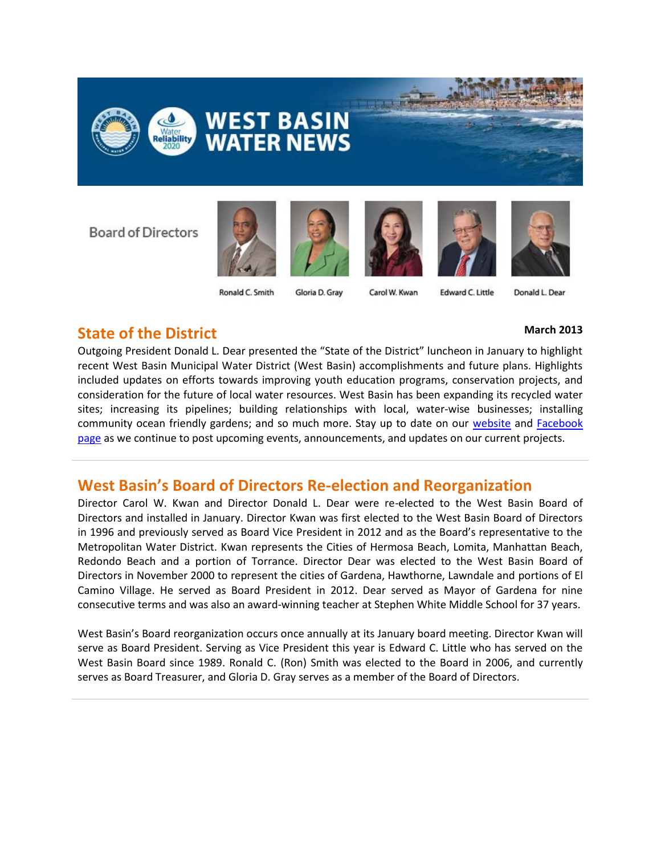

**Board of Directors** 





Gloria D. Gray







Ronald C. Smith

Carol W. Kwan

**Edward C. Little** Donald L. Dear

### **State of the District March 2013**

Outgoing President Donald L. Dear presented the "State of the District" luncheon in January to highlight recent West Basin Municipal Water District (West Basin) accomplishments and future plans. Highlights included updates on efforts towards improving youth education programs, conservation projects, and consideration for the future of local water resources. West Basin has been expanding its recycled water sites; increasing its pipelines; building relationships with local, water-wise businesses; installing community ocean friendly gardens; and so much more. Stay up to date on our [website](http://www.westbasin.org/) and [Facebook](http://www.facebook.com/pages/West-Basin-Municipal-Water-District/186785268027122)  [page](http://www.facebook.com/pages/West-Basin-Municipal-Water-District/186785268027122) as we continue to post upcoming events, announcements, and updates on our current projects.

### **West Basin's Board of Directors Re-election and Reorganization**

Director Carol W. Kwan and Director Donald L. Dear were re-elected to the West Basin Board of Directors and installed in January. Director Kwan was first elected to the West Basin Board of Directors in 1996 and previously served as Board Vice President in 2012 and as the Board's representative to the Metropolitan Water District. Kwan represents the Cities of Hermosa Beach, Lomita, Manhattan Beach, Redondo Beach and a portion of Torrance. Director Dear was elected to the West Basin Board of Directors in November 2000 to represent the cities of Gardena, Hawthorne, Lawndale and portions of El Camino Village. He served as Board President in 2012. Dear served as Mayor of Gardena for nine consecutive terms and was also an award-winning teacher at Stephen White Middle School for 37 years.

West Basin's Board reorganization occurs once annually at its January board meeting. Director Kwan will serve as Board President. Serving as Vice President this year is Edward C. Little who has served on the West Basin Board since 1989. Ronald C. (Ron) Smith was elected to the Board in 2006, and currently serves as Board Treasurer, and Gloria D. Gray serves as a member of the Board of Directors.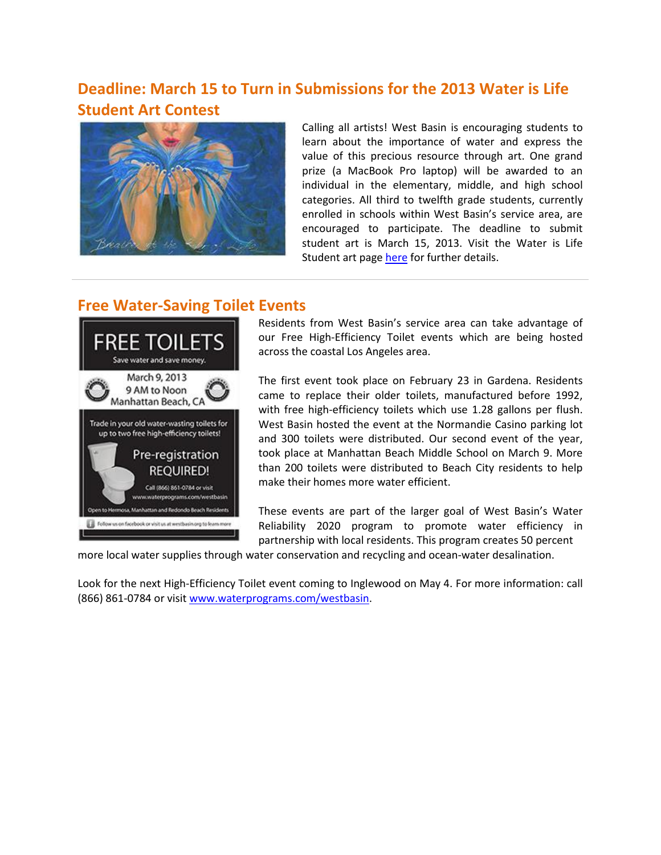# **Deadline: March 15 to Turn in Submissions for the 2013 Water is Life Student Art Contest**



Calling all artists! West Basin is encouraging students to learn about the importance of water and express the value of this precious resource through art. One grand prize (a MacBook Pro laptop) will be awarded to an individual in the elementary, middle, and high school categories. All third to twelfth grade students, currently enrolled in schools within West Basin's service area, are encouraged to participate. The deadline to submit student art is March 15, 2013. Visit the Water is Life Student art page [here](http://www.westbasin.org/education/education-programs/water-is-life-student-art-contest) for further details.

### **Free Water-Saving Toilet Events**



Residents from West Basin's service area can take advantage of our Free High-Efficiency Toilet events which are being hosted across the coastal Los Angeles area.

The first event took place on February 23 in Gardena. Residents came to replace their older toilets, manufactured before 1992, with free high-efficiency toilets which use 1.28 gallons per flush. West Basin hosted the event at the Normandie Casino parking lot and 300 toilets were distributed. Our second event of the year, took place at Manhattan Beach Middle School on March 9. More than 200 toilets were distributed to Beach City residents to help make their homes more water efficient.

These events are part of the larger goal of West Basin's Water Reliability 2020 program to promote water efficiency in partnership with local residents. This program creates 50 percent

more local water supplies through water conservation and recycling and ocean-water desalination.

Look for the next High-Efficiency Toilet event coming to Inglewood on May 4. For more information: call (866) 861-0784 or visi[t www.waterprograms.com/westbasin.](http://www.waterprograms.com/westbasin)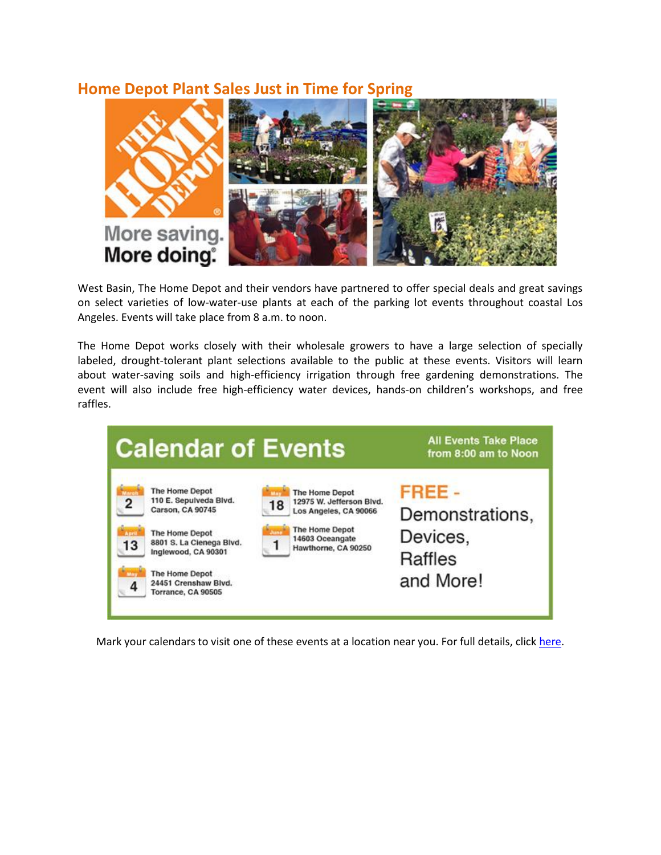### **Home Depot Plant Sales Just in Time for Spring**



West Basin, The Home Depot and their vendors have partnered to offer special deals and great savings on select varieties of low-water-use plants at each of the parking lot events throughout coastal Los Angeles. Events will take place from 8 a.m. to noon.

The Home Depot works closely with their wholesale growers to have a large selection of specially labeled, drought-tolerant plant selections available to the public at these events. Visitors will learn about water-saving soils and high-efficiency irrigation through free gardening demonstrations. The event will also include free high-efficiency water devices, hands-on children's workshops, and free raffles.



Mark your calendars to visit one of these events at a location near you. For full details, clic[k here.](http://www.westbasin.org/files/events/water-conservation-events-carson-03-02-13.pdf)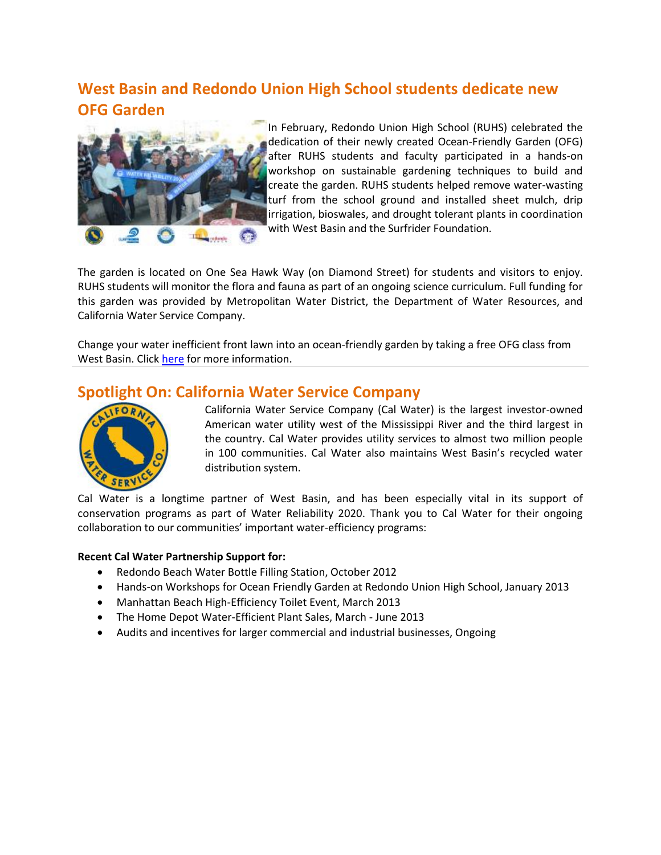# **West Basin and Redondo Union High School students dedicate new OFG Garden**



In February, Redondo Union High School (RUHS) celebrated the dedication of their newly created Ocean-Friendly Garden (OFG) after RUHS students and faculty participated in a hands-on workshop on sustainable gardening techniques to build and create the garden. RUHS students helped remove water-wasting turf from the school ground and installed sheet mulch, drip irrigation, bioswales, and drought tolerant plants in coordination with West Basin and the Surfrider Foundation.

The garden is located on One Sea Hawk Way (on Diamond Street) for students and visitors to enjoy. RUHS students will monitor the flora and fauna as part of an ongoing science curriculum. Full funding for this garden was provided by Metropolitan Water District, the Department of Water Resources, and California Water Service Company.

Change your water inefficient front lawn into an ocean-friendly garden by taking a free OFG class from West Basin. Click [here](http://www.westbasin.org/water-reliability-2020/conservation/landscape-gardening-programs/ocean-friendly-garden) for more information.

### **Spotlight On: California Water Service Company**



California Water Service Company (Cal Water) is the largest investor-owned American water utility west of the Mississippi River and the third largest in the country. Cal Water provides utility services to almost two million people in 100 communities. Cal Water also maintains West Basin's recycled water distribution system.

Cal Water is a longtime partner of West Basin, and has been especially vital in its support of conservation programs as part of Water Reliability 2020. Thank you to Cal Water for their ongoing collaboration to our communities' important water-efficiency programs:

### **Recent Cal Water Partnership Support for:**

- Redondo Beach Water Bottle Filling Station, October 2012
- Hands-on Workshops for Ocean Friendly Garden at Redondo Union High School, January 2013
- Manhattan Beach High-Efficiency Toilet Event, March 2013
- The Home Depot Water-Efficient Plant Sales, March June 2013
- Audits and incentives for larger commercial and industrial businesses, Ongoing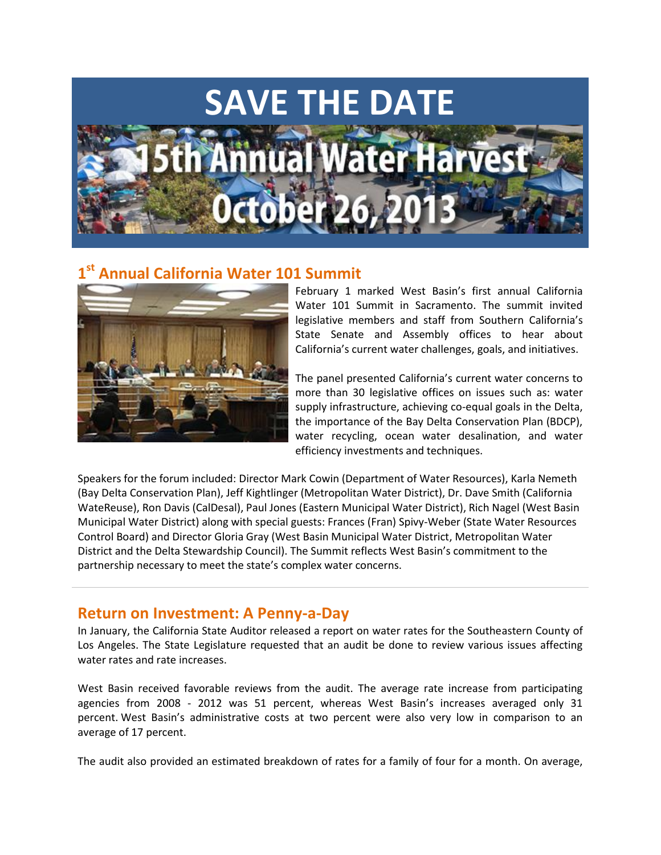

#### $1^{\mathsf{st}}$ **st Annual California Water 101 Summit**



February 1 marked West Basin's first annual California Water 101 Summit in Sacramento. The summit invited legislative members and staff from Southern California's State Senate and Assembly offices to hear about California's current water challenges, goals, and initiatives.

The panel presented California's current water concerns to more than 30 legislative offices on issues such as: water supply infrastructure, achieving co-equal goals in the Delta, the importance of the Bay Delta Conservation Plan (BDCP), water recycling, ocean water desalination, and water efficiency investments and techniques.

Speakers for the forum included: Director Mark Cowin (Department of Water Resources), Karla Nemeth (Bay Delta Conservation Plan), Jeff Kightlinger (Metropolitan Water District), Dr. Dave Smith (California WateReuse), Ron Davis (CalDesal), Paul Jones (Eastern Municipal Water District), Rich Nagel (West Basin Municipal Water District) along with special guests: Frances (Fran) Spivy-Weber (State Water Resources Control Board) and Director Gloria Gray (West Basin Municipal Water District, Metropolitan Water District and the Delta Stewardship Council). The Summit reflects West Basin's commitment to the partnership necessary to meet the state's complex water concerns.

### **Return on Investment: A Penny-a-Day**

In January, the California State Auditor released a report on water rates for the Southeastern County of Los Angeles. The State Legislature requested that an audit be done to review various issues affecting water rates and rate increases.

West Basin received favorable reviews from the audit. The average rate increase from participating agencies from 2008 - 2012 was 51 percent, whereas West Basin's increases averaged only 31 percent. West Basin's administrative costs at two percent were also very low in comparison to an average of 17 percent.

The audit also provided an estimated breakdown of rates for a family of four for a month. On average,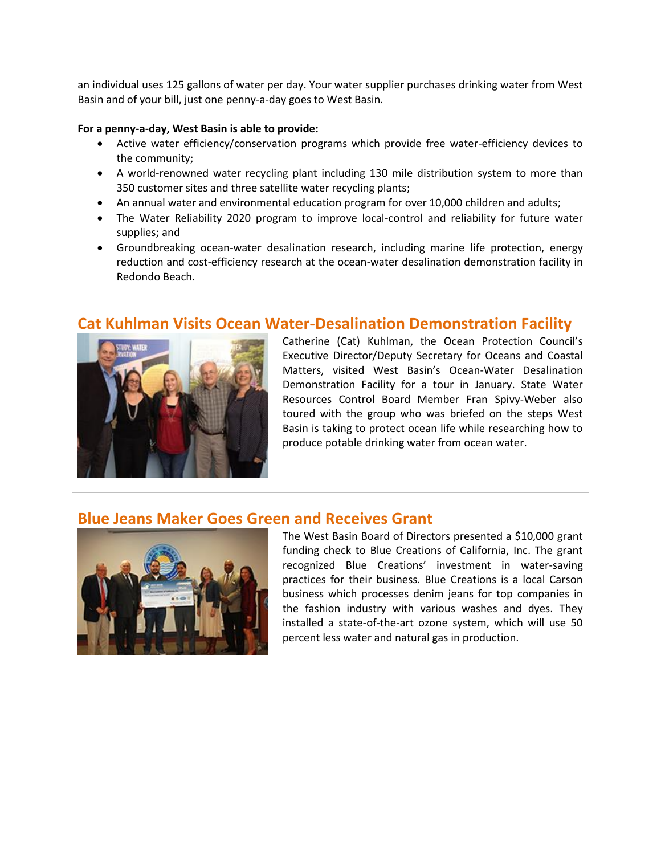an individual uses 125 gallons of water per day. Your water supplier purchases drinking water from West Basin and of your bill, just one penny-a-day goes to West Basin.

### **For a penny-a-day, West Basin is able to provide:**

- Active water efficiency/conservation programs which provide free water-efficiency devices to the community;
- A world-renowned water recycling plant including 130 mile distribution system to more than 350 customer sites and three satellite water recycling plants;
- An annual water and environmental education program for over 10,000 children and adults;
- The Water Reliability 2020 program to improve local-control and reliability for future water supplies; and
- Groundbreaking ocean-water desalination research, including marine life protection, energy reduction and cost-efficiency research at the ocean-water desalination demonstration facility in Redondo Beach.



### **Cat Kuhlman Visits Ocean Water-Desalination Demonstration Facility**

Catherine (Cat) Kuhlman, the Ocean Protection Council's Executive Director/Deputy Secretary for Oceans and Coastal Matters, visited West Basin's Ocean-Water Desalination Demonstration Facility for a tour in January. State Water Resources Control Board Member Fran Spivy-Weber also toured with the group who was briefed on the steps West Basin is taking to protect ocean life while researching how to produce potable drinking water from ocean water.

### **Blue Jeans Maker Goes Green and Receives Grant**



The West Basin Board of Directors presented a \$10,000 grant funding check to Blue Creations of California, Inc. The grant recognized Blue Creations' investment in water-saving practices for their business. Blue Creations is a local Carson business which processes denim jeans for top companies in the fashion industry with various washes and dyes. They installed a state-of-the-art ozone system, which will use 50 percent less water and natural gas in production.